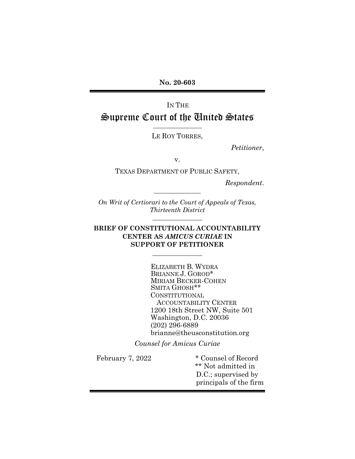No. 20-603

## IN THE Supreme Court of the United States

ı

l.

ı

l.

LE ROY TORRES,

Petitioner,

v.

TEXAS DEPARTMENT OF PUBLIC SAFETY,

Respondent.

On Writ of Certiorari to the Court of Appeals of Texas, Thirteenth District

#### BRIEF OF CONSTITUTIONAL ACCOUNTABILITY CENTER AS AMICUS CURIAE IN SUPPORT OF PETITIONER

ELIZABETH B. WYDRA BRIANNE J. GOROD\* MIRIAM BECKER-COHEN SMITA GHOSH\*\* CONSTITUTIONAL ACCOUNTABILITY CENTER 1200 18th Street NW, Suite 501 Washington, D.C. 20036 (202) 296-6889 brianne@theusconstitution.org

Counsel for Amicus Curiae

February 7, 2022 \* Counsel of Record \*\* Not admitted in D.C.; supervised by principals of the firm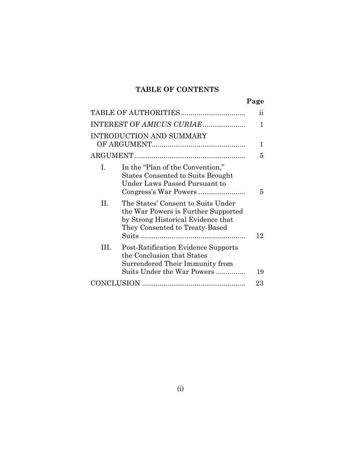### TABLE OF CONTENTS

| ٠<br>ĸ |
|--------|
|--------|

|    |                                                                                                                                                   | 11 |
|----|---------------------------------------------------------------------------------------------------------------------------------------------------|----|
|    | INTEREST OF AMICUS CURIAE                                                                                                                         | 1  |
|    | INTRODUCTION AND SUMMARY                                                                                                                          | 1  |
|    |                                                                                                                                                   | 5  |
| L. | In the "Plan of the Convention,"<br><b>States Consented to Suits Brought</b><br>Under Laws Passed Pursuant to                                     | 5  |
| H. | The States' Consent to Suits Under<br>the War Powers is Further Supported<br>by Strong Historical Evidence that<br>They Consented to Treaty-Based |    |
|    |                                                                                                                                                   | 12 |
| Ш  | Post-Ratification Evidence Supports<br>the Conclusion that States<br>Surrendered Their Immunity from<br>Suits Under the War Powers                | 19 |
|    |                                                                                                                                                   | 23 |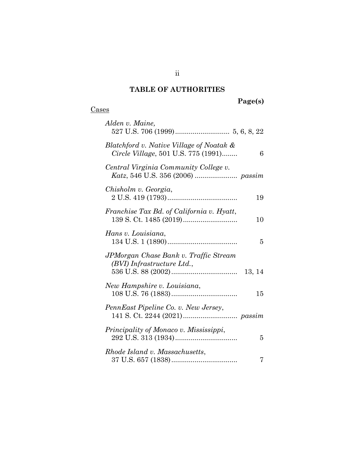### TABLE OF AUTHORITIES

## Page(s)

### **Cases**

| Alden v. Maine,                                                                      |
|--------------------------------------------------------------------------------------|
| Blatchford v. Native Village of Noatak &<br>Circle Village, 501 U.S. 775 (1991)<br>6 |
| Central Virginia Community College v.                                                |
| Chisholm v. Georgia,<br>19                                                           |
| Franchise Tax Bd. of California v. Hyatt,<br>10                                      |
| Hans v. Louisiana,<br>5                                                              |
| JPMorgan Chase Bank v. Traffic Stream<br>(BVI) Infrastructure Ltd.,                  |
| New Hampshire v. Louisiana,<br>15                                                    |
| PennEast Pipeline Co. v. New Jersey,                                                 |
| Principality of Monaco v. Mississippi,<br>5                                          |
| Rhode Island v. Massachusetts,<br>7                                                  |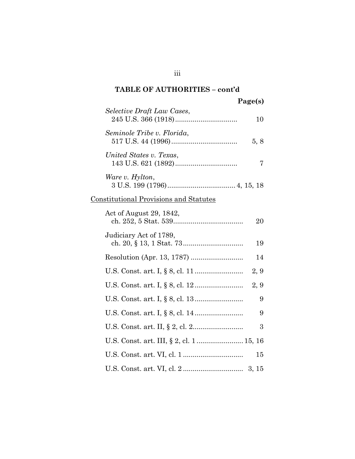## Page(s)

| Selective Draft Law Cases, | 10   |
|----------------------------|------|
| Seminole Tribe v. Florida, | 5, 8 |
| United States v. Texas,    |      |
| Ware v. Hylton,            |      |

## 3 U.S. 199 (1796) ................................... 4, 15, 18

## Constitutional Provisions and Statutes

| Act of August 29, 1842, | 20   |
|-------------------------|------|
| Judiciary Act of 1789,  | 19   |
|                         | 14   |
|                         | 2, 9 |
|                         | 2, 9 |
|                         | 9    |
|                         | 9    |
|                         | 3    |
|                         |      |
|                         | 15   |
|                         |      |

#### iii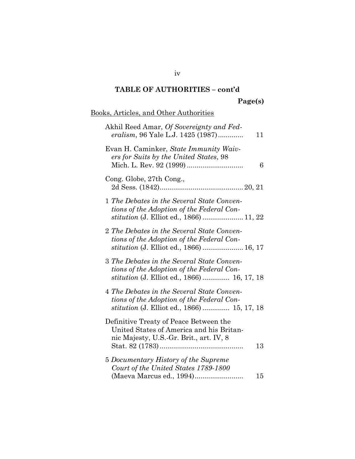## Page(s)

## Books, Articles, and Other Authorities

| Akhil Reed Amar, Of Sovereignty and Fed-<br><i>eralism</i> , 96 Yale L.J. 1425 (1987)<br>11                                                   |
|-----------------------------------------------------------------------------------------------------------------------------------------------|
| Evan H. Caminker, State Immunity Waiv-<br>ers for Suits by the United States, 98<br>6                                                         |
| Cong. Globe, 27th Cong.,                                                                                                                      |
| 1 The Debates in the Several State Conven-<br>tions of the Adoption of the Federal Con-                                                       |
| 2 The Debates in the Several State Conven-<br>tions of the Adoption of the Federal Con-<br><i>stitution</i> (J. Elliot ed., 1866)  16, 17     |
| 3 The Debates in the Several State Conven-<br>tions of the Adoption of the Federal Con-<br><i>stitution</i> (J. Elliot ed., 1866)  16, 17, 18 |
| 4 The Debates in the Several State Conven-<br>tions of the Adoption of the Federal Con-<br><i>stitution</i> (J. Elliot ed., 1866)  15, 17, 18 |
| Definitive Treaty of Peace Between the<br>United States of America and his Britan-<br>nic Majesty, U.S.-Gr. Brit., art. IV, 8<br>$13\,$       |
| 5 Documentary History of the Supreme<br>Court of the United States 1789-1800<br>(Maeva Marcus ed., 1994)<br>15                                |

iv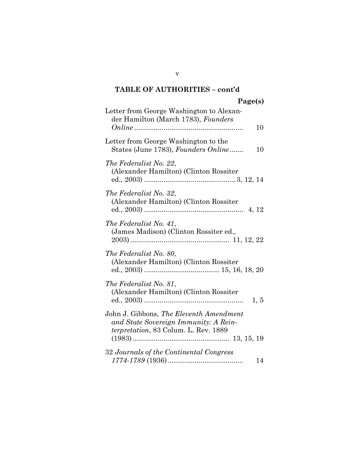## Page(s)

| Letter from George Washington to Alexan-<br>der Hamilton (March 1783), Founders                                                  |
|----------------------------------------------------------------------------------------------------------------------------------|
| 10                                                                                                                               |
| Letter from George Washington to the<br>States (June 1783), Founders Online<br>10                                                |
| The Federalist No. 22,<br>(Alexander Hamilton) (Clinton Rossiter)                                                                |
| The Federalist No. 32,<br>(Alexander Hamilton) (Clinton Rossiter<br>4, 12                                                        |
| The Federalist No. 41,<br>(James Madison) (Clinton Rossiter ed.,                                                                 |
| The Federalist No. 80,<br>(Alexander Hamilton) (Clinton Rossiter)                                                                |
| The Federalist No. 81,<br>(Alexander Hamilton) (Clinton Rossiter<br>1, 5                                                         |
| John J. Gibbons, The Eleventh Amendment<br>and State Sovereign Immunity: A Rein-<br><i>terpretation</i> , 83 Colum. L. Rev. 1889 |
| 32 Journals of the Continental Congress<br>14                                                                                    |

v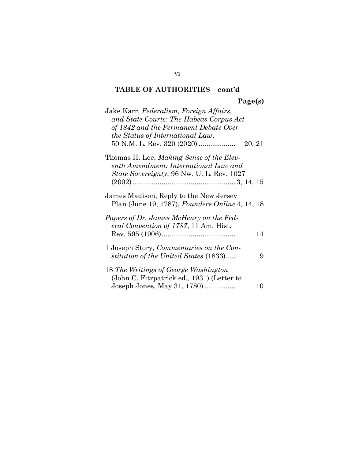## Page(s)

| Jake Karr, Federalism, Foreign Affairs,         |        |
|-------------------------------------------------|--------|
| and State Courts: The Habeas Corpus Act         |        |
| of 1842 and the Permanent Debate Over           |        |
| the Status of International Law,                |        |
| 50 N.M. L. Rev. 320 (2020)                      | 20, 21 |
| Thomas H. Lee, <i>Making Sense of the Elev-</i> |        |
| enth Amendment: International Law and           |        |
| State Sovereignty, 96 Nw. U. L. Rev. 1027       |        |
|                                                 |        |
| James Madison, Reply to the New Jersey          |        |
| Plan (June 19, 1787), Founders Online 4, 14, 18 |        |
| Papers of Dr. James McHenry on the Fed-         |        |
| eral Convention of 1787, 11 Am. Hist.           |        |
|                                                 | 14     |
| 1 Joseph Story, Commentaries on the Con-        |        |
| stitution of the United States (1833)           | 9      |
| 18 The Writings of George Washington            |        |
| (John C. Fitzpatrick ed., 1931) (Letter to      |        |
| Joseph Jones, May 31, 1780)                     | 10     |
|                                                 |        |

#### vi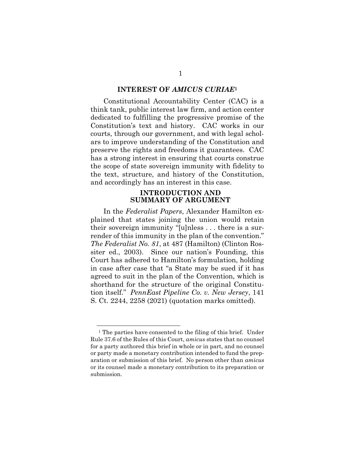#### INTEREST OF AMICUS CURIAE<sup>1</sup>

Constitutional Accountability Center (CAC) is a think tank, public interest law firm, and action center dedicated to fulfilling the progressive promise of the Constitution's text and history. CAC works in our courts, through our government, and with legal scholars to improve understanding of the Constitution and preserve the rights and freedoms it guarantees. CAC has a strong interest in ensuring that courts construe the scope of state sovereign immunity with fidelity to the text, structure, and history of the Constitution, and accordingly has an interest in this case.

#### INTRODUCTION AND SUMMARY OF ARGUMENT

In the Federalist Papers, Alexander Hamilton explained that states joining the union would retain their sovereign immunity "[u]nless . . . there is a surrender of this immunity in the plan of the convention." The Federalist No. 81, at 487 (Hamilton) (Clinton Rossiter ed., 2003). Since our nation's Founding, this Court has adhered to Hamilton's formulation, holding in case after case that "a State may be sued if it has agreed to suit in the plan of the Convention, which is shorthand for the structure of the original Constitution itself." PennEast Pipeline Co. v. New Jersey, 141 S. Ct. 2244, 2258 (2021) (quotation marks omitted).

<sup>&</sup>lt;sup>1</sup> The parties have consented to the filing of this brief. Under Rule 37.6 of the Rules of this Court, amicus states that no counsel for a party authored this brief in whole or in part, and no counsel or party made a monetary contribution intended to fund the preparation or submission of this brief. No person other than amicus or its counsel made a monetary contribution to its preparation or submission.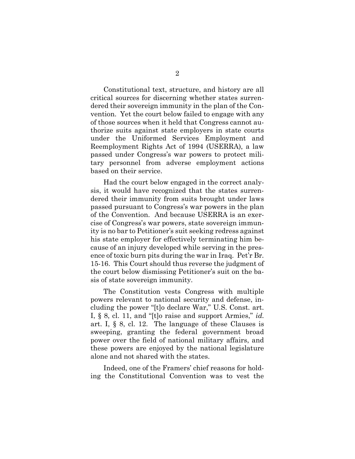Constitutional text, structure, and history are all critical sources for discerning whether states surrendered their sovereign immunity in the plan of the Convention. Yet the court below failed to engage with any of those sources when it held that Congress cannot authorize suits against state employers in state courts under the Uniformed Services Employment and Reemployment Rights Act of 1994 (USERRA), a law passed under Congress's war powers to protect military personnel from adverse employment actions based on their service.

Had the court below engaged in the correct analysis, it would have recognized that the states surrendered their immunity from suits brought under laws passed pursuant to Congress's war powers in the plan of the Convention. And because USERRA is an exercise of Congress's war powers, state sovereign immunity is no bar to Petitioner's suit seeking redress against his state employer for effectively terminating him because of an injury developed while serving in the presence of toxic burn pits during the war in Iraq. Pet'r Br. 15-16. This Court should thus reverse the judgment of the court below dismissing Petitioner's suit on the basis of state sovereign immunity.

The Constitution vests Congress with multiple powers relevant to national security and defense, including the power "[t]o declare War," U.S. Const. art. I, § 8, cl. 11, and "[t]o raise and support Armies," id. art. I, § 8, cl. 12. The language of these Clauses is sweeping, granting the federal government broad power over the field of national military affairs, and these powers are enjoyed by the national legislature alone and not shared with the states.

Indeed, one of the Framers' chief reasons for holding the Constitutional Convention was to vest the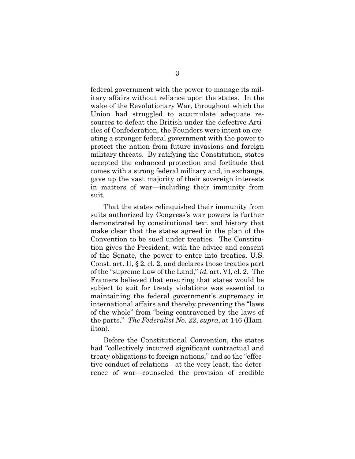federal government with the power to manage its military affairs without reliance upon the states. In the wake of the Revolutionary War, throughout which the Union had struggled to accumulate adequate resources to defeat the British under the defective Articles of Confederation, the Founders were intent on creating a stronger federal government with the power to protect the nation from future invasions and foreign military threats. By ratifying the Constitution, states accepted the enhanced protection and fortitude that comes with a strong federal military and, in exchange, gave up the vast majority of their sovereign interests in matters of war—including their immunity from suit.

That the states relinquished their immunity from suits authorized by Congress's war powers is further demonstrated by constitutional text and history that make clear that the states agreed in the plan of the Convention to be sued under treaties. The Constitution gives the President, with the advice and consent of the Senate, the power to enter into treaties, U.S. Const. art. II, § 2, cl. 2, and declares those treaties part of the "supreme Law of the Land," id. art. VI, cl. 2. The Framers believed that ensuring that states would be subject to suit for treaty violations was essential to maintaining the federal government's supremacy in international affairs and thereby preventing the "laws of the whole" from "being contravened by the laws of the parts." The Federalist No. 22, supra, at 146 (Hamilton).

Before the Constitutional Convention, the states had "collectively incurred significant contractual and treaty obligations to foreign nations," and so the "effective conduct of relations—at the very least, the deterrence of war—counseled the provision of credible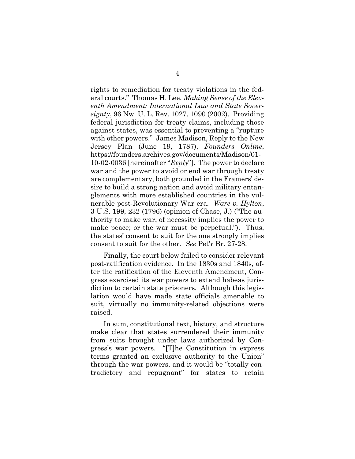rights to remediation for treaty violations in the federal courts." Thomas H. Lee, Making Sense of the Eleventh Amendment: International Law and State Sovereignty, 96 Nw. U. L. Rev. 1027, 1090 (2002). Providing federal jurisdiction for treaty claims, including those against states, was essential to preventing a "rupture with other powers." James Madison, Reply to the New Jersey Plan (June 19, 1787), Founders Online, https://founders.archives.gov/documents/Madison/01- 10-02-0036 [hereinafter "Reply"]. The power to declare war and the power to avoid or end war through treaty are complementary, both grounded in the Framers' desire to build a strong nation and avoid military entanglements with more established countries in the vulnerable post-Revolutionary War era. Ware v. Hylton, 3 U.S. 199, 232 (1796) (opinion of Chase, J.) ("The authority to make war, of necessity implies the power to make peace; or the war must be perpetual."). Thus, the states' consent to suit for the one strongly implies consent to suit for the other. See Pet'r Br. 27-28.

Finally, the court below failed to consider relevant post-ratification evidence. In the 1830s and 1840s, after the ratification of the Eleventh Amendment, Congress exercised its war powers to extend habeas jurisdiction to certain state prisoners. Although this legislation would have made state officials amenable to suit, virtually no immunity-related objections were raised.

In sum, constitutional text, history, and structure make clear that states surrendered their immunity from suits brought under laws authorized by Congress's war powers. "[T]he Constitution in express terms granted an exclusive authority to the Union" through the war powers, and it would be "totally contradictory and repugnant" for states to retain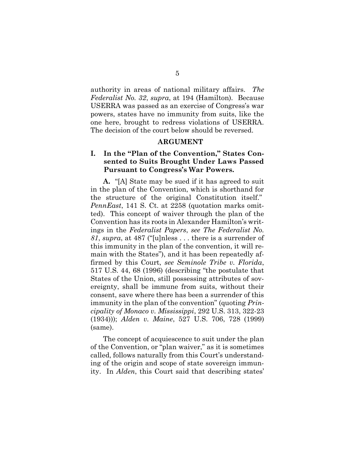authority in areas of national military affairs. The Federalist No. 32, supra, at 194 (Hamilton). Because USERRA was passed as an exercise of Congress's war powers, states have no immunity from suits, like the one here, brought to redress violations of USERRA. The decision of the court below should be reversed.

#### ARGUMENT

#### I. In the "Plan of the Convention," States Consented to Suits Brought Under Laws Passed Pursuant to Congress's War Powers.

A. "[A] State may be sued if it has agreed to suit in the plan of the Convention, which is shorthand for the structure of the original Constitution itself." PennEast, 141 S. Ct. at 2258 (quotation marks omitted). This concept of waiver through the plan of the Convention has its roots in Alexander Hamilton's writings in the Federalist Papers, see The Federalist No. 81, supra, at 487 ("[u]nless  $\dots$  there is a surrender of this immunity in the plan of the convention, it will remain with the States"), and it has been repeatedly affirmed by this Court, see Seminole Tribe v. Florida, 517 U.S. 44, 68 (1996) (describing "the postulate that States of the Union, still possessing attributes of sovereignty, shall be immune from suits, without their consent, save where there has been a surrender of this immunity in the plan of the convention" (quoting *Prin*cipality of Monaco v. Mississippi, 292 U.S. 313, 322-23 (1934))); Alden v. Maine, 527 U.S. 706, 728 (1999) (same).

The concept of acquiescence to suit under the plan of the Convention, or "plan waiver," as it is sometimes called, follows naturally from this Court's understanding of the origin and scope of state sovereign immunity. In Alden, this Court said that describing states'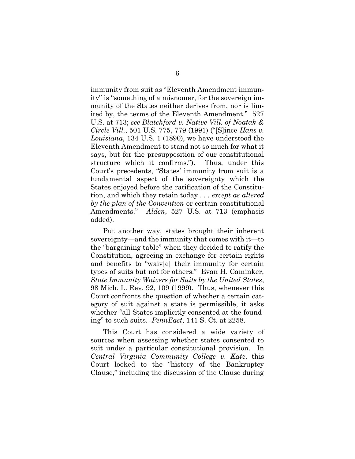immunity from suit as "Eleventh Amendment immunity" is "something of a misnomer, for the sovereign immunity of the States neither derives from, nor is limited by, the terms of the Eleventh Amendment." 527 U.S. at 713; see Blatchford v. Native Vill. of Noatak & Circle Vill., 501 U.S. 775, 779 (1991) ("[S]ince Hans v. Louisiana, 134 U.S. 1 (1890), we have understood the Eleventh Amendment to stand not so much for what it says, but for the presupposition of our constitutional structure which it confirms."). Thus, under this Court's precedents, "States' immunity from suit is a fundamental aspect of the sovereignty which the States enjoyed before the ratification of the Constitution, and which they retain today . . . except as altered by the plan of the Convention or certain constitutional Amendments." Alden, 527 U.S. at 713 (emphasis added).

Put another way, states brought their inherent sovereignty—and the immunity that comes with it—to the "bargaining table" when they decided to ratify the Constitution, agreeing in exchange for certain rights and benefits to "waiv[e] their immunity for certain types of suits but not for others." Evan H. Caminker, State Immunity Waivers for Suits by the United States, 98 Mich. L. Rev. 92, 109 (1999). Thus, whenever this Court confronts the question of whether a certain category of suit against a state is permissible, it asks whether "all States implicitly consented at the founding" to such suits. PennEast, 141 S. Ct. at 2258.

This Court has considered a wide variety of sources when assessing whether states consented to suit under a particular constitutional provision. In Central Virginia Community College v. Katz, this Court looked to the "history of the Bankruptcy Clause," including the discussion of the Clause during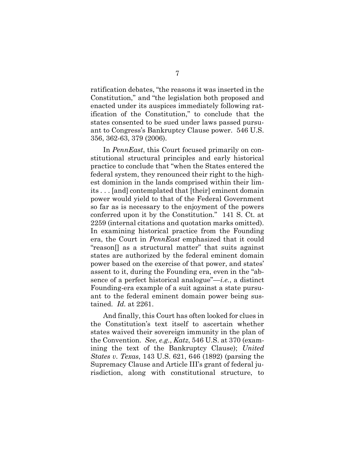ratification debates, "the reasons it was inserted in the Constitution," and "the legislation both proposed and enacted under its auspices immediately following ratification of the Constitution," to conclude that the states consented to be sued under laws passed pursuant to Congress's Bankruptcy Clause power. 546 U.S. 356, 362-63, 379 (2006).

In *PennEast*, this Court focused primarily on constitutional structural principles and early historical practice to conclude that "when the States entered the federal system, they renounced their right to the highest dominion in the lands comprised within their limits . . . [and] contemplated that [their] eminent domain power would yield to that of the Federal Government so far as is necessary to the enjoyment of the powers conferred upon it by the Constitution." 141 S. Ct. at 2259 (internal citations and quotation marks omitted). In examining historical practice from the Founding era, the Court in PennEast emphasized that it could "reason[] as a structural matter" that suits against states are authorized by the federal eminent domain power based on the exercise of that power, and states' assent to it, during the Founding era, even in the "absence of a perfect historical analogue"— $i.e.,$  a distinct Founding-era example of a suit against a state pursuant to the federal eminent domain power being sustained. Id. at 2261.

And finally, this Court has often looked for clues in the Constitution's text itself to ascertain whether states waived their sovereign immunity in the plan of the Convention. See, e.g., Katz, 546 U.S. at 370 (examining the text of the Bankruptcy Clause); United States v. Texas, 143 U.S. 621, 646 (1892) (parsing the Supremacy Clause and Article III's grant of federal jurisdiction, along with constitutional structure, to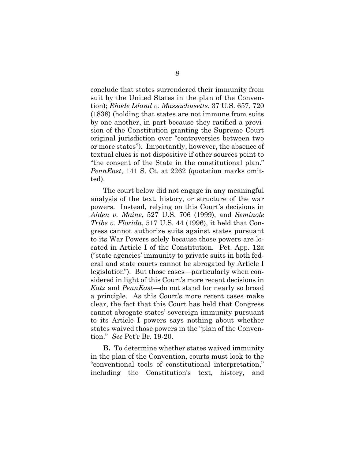conclude that states surrendered their immunity from suit by the United States in the plan of the Convention); Rhode Island v. Massachusetts, 37 U.S. 657, 720 (1838) (holding that states are not immune from suits by one another, in part because they ratified a provision of the Constitution granting the Supreme Court original jurisdiction over "controversies between two or more states"). Importantly, however, the absence of textual clues is not dispositive if other sources point to "the consent of the State in the constitutional plan." PennEast, 141 S. Ct. at 2262 (quotation marks omitted).

The court below did not engage in any meaningful analysis of the text, history, or structure of the war powers. Instead, relying on this Court's decisions in Alden v. Maine, 527 U.S. 706 (1999), and Seminole Tribe v. Florida, 517 U.S. 44 (1996), it held that Congress cannot authorize suits against states pursuant to its War Powers solely because those powers are located in Article I of the Constitution. Pet. App. 12a ("state agencies' immunity to private suits in both federal and state courts cannot be abrogated by Article I legislation"). But those cases—particularly when considered in light of this Court's more recent decisions in Katz and PennEast—do not stand for nearly so broad a principle. As this Court's more recent cases make clear, the fact that this Court has held that Congress cannot abrogate states' sovereign immunity pursuant to its Article I powers says nothing about whether states waived those powers in the "plan of the Convention." See Pet'r Br. 19-20.

B. To determine whether states waived immunity in the plan of the Convention, courts must look to the "conventional tools of constitutional interpretation," including the Constitution's text, history, and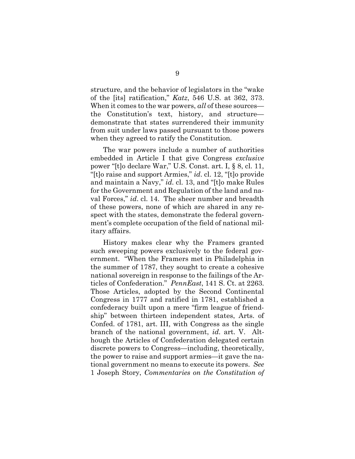structure, and the behavior of legislators in the "wake of the [its] ratification," Katz, 546 U.S. at 362, 373. When it comes to the war powers, all of these sources the Constitution's text, history, and structure demonstrate that states surrendered their immunity from suit under laws passed pursuant to those powers when they agreed to ratify the Constitution.

The war powers include a number of authorities embedded in Article I that give Congress exclusive power "[t]o declare War," U.S. Const. art. I, § 8, cl. 11, "[t]o raise and support Armies," id. cl. 12, "[t]o provide and maintain a Navy," id. cl. 13, and "[t]o make Rules for the Government and Regulation of the land and naval Forces," id. cl. 14. The sheer number and breadth of these powers, none of which are shared in any respect with the states, demonstrate the federal government's complete occupation of the field of national military affairs.

History makes clear why the Framers granted such sweeping powers exclusively to the federal government. "When the Framers met in Philadelphia in the summer of 1787, they sought to create a cohesive national sovereign in response to the failings of the Articles of Confederation." PennEast, 141 S. Ct. at 2263. Those Articles, adopted by the Second Continental Congress in 1777 and ratified in 1781, established a confederacy built upon a mere "firm league of friendship" between thirteen independent states, Arts. of Confed. of 1781, art. III, with Congress as the single branch of the national government, id. art. V. Although the Articles of Confederation delegated certain discrete powers to Congress—including, theoretically, the power to raise and support armies—it gave the national government no means to execute its powers. See 1 Joseph Story, Commentaries on the Constitution of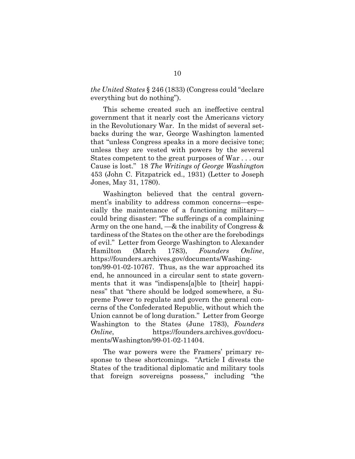the United States § 246 (1833) (Congress could "declare everything but do nothing").

This scheme created such an ineffective central government that it nearly cost the Americans victory in the Revolutionary War. In the midst of several setbacks during the war, George Washington lamented that "unless Congress speaks in a more decisive tone; unless they are vested with powers by the several States competent to the great purposes of War . . . our Cause is lost." 18 The Writings of George Washington 453 (John C. Fitzpatrick ed., 1931) (Letter to Joseph Jones, May 31, 1780).

Washington believed that the central government's inability to address common concerns—especially the maintenance of a functioning military could bring disaster: "The sufferings of a complaining Army on the one hand,  $-\&$  the inability of Congress  $\&$ tardiness of the States on the other are the forebodings of evil." Letter from George Washington to Alexander Hamilton (March 1783), Founders Online, https://founders.archives.gov/documents/Washington/99-01-02-10767. Thus, as the war approached its end, he announced in a circular sent to state governments that it was "indispens[a]ble to [their] happiness" that "there should be lodged somewhere, a Supreme Power to regulate and govern the general concerns of the Confederated Republic, without which the Union cannot be of long duration." Letter from George Washington to the States (June 1783), Founders Online, https://founders.archives.gov/documents/Washington/99-01-02-11404.

The war powers were the Framers' primary response to these shortcomings. "Article I divests the States of the traditional diplomatic and military tools that foreign sovereigns possess," including "the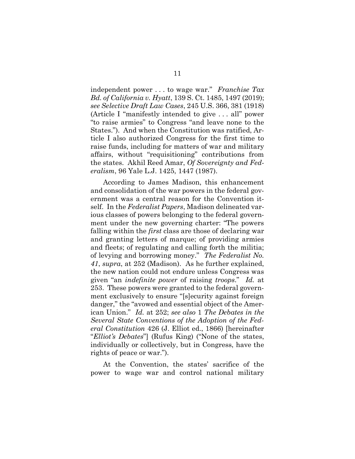independent power . . . to wage war." Franchise Tax Bd. of California v. Hyatt, 139 S. Ct. 1485, 1497 (2019); see Selective Draft Law Cases, 245 U.S. 366, 381 (1918) (Article I "manifestly intended to give . . . all" power "to raise armies" to Congress "and leave none to the States."). And when the Constitution was ratified, Article I also authorized Congress for the first time to raise funds, including for matters of war and military affairs, without "requisitioning" contributions from the states. Akhil Reed Amar, Of Sovereignty and Federalism, 96 Yale L.J. 1425, 1447 (1987).

According to James Madison, this enhancement and consolidation of the war powers in the federal government was a central reason for the Convention itself. In the Federalist Papers, Madison delineated various classes of powers belonging to the federal government under the new governing charter: "The powers falling within the *first* class are those of declaring war and granting letters of marque; of providing armies and fleets; of regulating and calling forth the militia; of levying and borrowing money." The Federalist No. 41, supra, at 252 (Madison). As he further explained, the new nation could not endure unless Congress was given "an indefinite power of raising troops." Id. at 253. These powers were granted to the federal government exclusively to ensure "[s]ecurity against foreign danger," the "avowed and essential object of the American Union." Id. at 252; see also 1 The Debates in the Several State Conventions of the Adoption of the Federal Constitution 426 (J. Elliot ed., 1866) [hereinafter "Elliot's Debates"] (Rufus King) ("None of the states, individually or collectively, but in Congress, have the rights of peace or war.").

At the Convention, the states' sacrifice of the power to wage war and control national military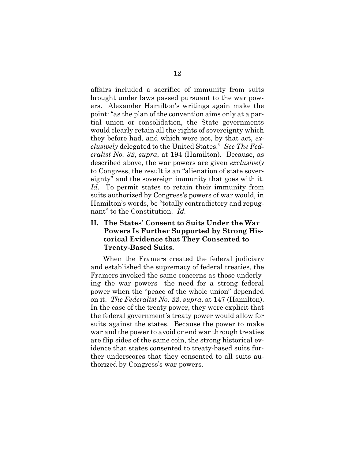affairs included a sacrifice of immunity from suits brought under laws passed pursuant to the war powers. Alexander Hamilton's writings again make the point: "as the plan of the convention aims only at a partial union or consolidation, the State governments would clearly retain all the rights of sovereignty which they before had, and which were not, by that act, exclusively delegated to the United States." See The Federalist No. 32, supra, at 194 (Hamilton). Because, as described above, the war powers are given *exclusively* to Congress, the result is an "alienation of state sovereignty" and the sovereign immunity that goes with it. Id. To permit states to retain their immunity from suits authorized by Congress's powers of war would, in Hamilton's words, be "totally contradictory and repugnant" to the Constitution. Id.

#### II. The States' Consent to Suits Under the War Powers Is Further Supported by Strong Historical Evidence that They Consented to Treaty-Based Suits.

When the Framers created the federal judiciary and established the supremacy of federal treaties, the Framers invoked the same concerns as those underlying the war powers—the need for a strong federal power when the "peace of the whole union" depended on it. The Federalist No. 22, supra, at 147 (Hamilton). In the case of the treaty power, they were explicit that the federal government's treaty power would allow for suits against the states. Because the power to make war and the power to avoid or end war through treaties are flip sides of the same coin, the strong historical evidence that states consented to treaty-based suits further underscores that they consented to all suits authorized by Congress's war powers.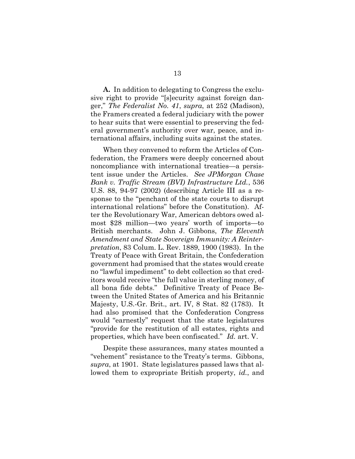A. In addition to delegating to Congress the exclusive right to provide "[s]ecurity against foreign danger," The Federalist No. 41, supra, at 252 (Madison), the Framers created a federal judiciary with the power to hear suits that were essential to preserving the federal government's authority over war, peace, and international affairs, including suits against the states.

When they convened to reform the Articles of Confederation, the Framers were deeply concerned about noncompliance with international treaties—a persistent issue under the Articles. See JPMorgan Chase Bank v. Traffic Stream (BVI) Infrastructure Ltd., 536 U.S. 88, 94-97 (2002) (describing Article III as a response to the "penchant of the state courts to disrupt international relations" before the Constitution). After the Revolutionary War, American debtors owed almost \$28 million—two years' worth of imports—to British merchants. John J. Gibbons, The Eleventh Amendment and State Sovereign Immunity: A Reinterpretation, 83 Colum. L. Rev. 1889, 1900 (1983). In the Treaty of Peace with Great Britain, the Confederation government had promised that the states would create no "lawful impediment" to debt collection so that creditors would receive "the full value in sterling money, of all bona fide debts." Definitive Treaty of Peace Between the United States of America and his Britannic Majesty, U.S.-Gr. Brit., art. IV, 8 Stat. 82 (1783). It had also promised that the Confederation Congress would "earnestly" request that the state legislatures "provide for the restitution of all estates, rights and properties, which have been confiscated." Id. art. V.

Despite these assurances, many states mounted a "vehement" resistance to the Treaty's terms. Gibbons, supra, at 1901. State legislatures passed laws that allowed them to expropriate British property, *id.*, and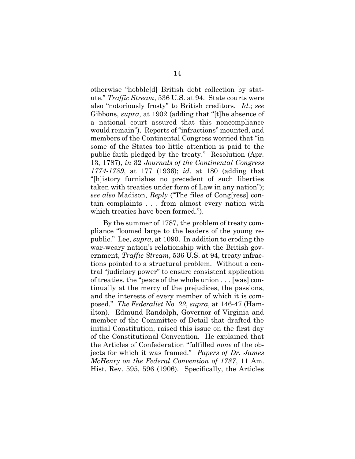otherwise "hobble[d] British debt collection by statute," Traffic Stream, 536 U.S. at 94. State courts were also "notoriously frosty" to British creditors. Id.; see Gibbons, supra, at 1902 (adding that "[t]he absence of a national court assured that this noncompliance would remain"). Reports of "infractions" mounted, and members of the Continental Congress worried that "in some of the States too little attention is paid to the public faith pledged by the treaty." Resolution (Apr. 13, 1787), in 32 Journals of the Continental Congress 1774-1789, at 177 (1936); id. at 180 (adding that "[h]istory furnishes no precedent of such liberties taken with treaties under form of Law in any nation"); see also Madison, Reply ("The files of Cong[ress] contain complaints . . . from almost every nation with which treaties have been formed.").

By the summer of 1787, the problem of treaty compliance "loomed large to the leaders of the young republic." Lee, supra, at 1090. In addition to eroding the war-weary nation's relationship with the British government, *Traffic Stream*, 536 U.S. at 94, treaty infractions pointed to a structural problem. Without a central "judiciary power" to ensure consistent application of treaties, the "peace of the whole union . . . [was] continually at the mercy of the prejudices, the passions, and the interests of every member of which it is composed." The Federalist No. 22, supra, at 146-47 (Hamilton). Edmund Randolph, Governor of Virginia and member of the Committee of Detail that drafted the initial Constitution, raised this issue on the first day of the Constitutional Convention. He explained that the Articles of Confederation "fulfilled none of the objects for which it was framed." Papers of Dr. James McHenry on the Federal Convention of 1787, 11 Am. Hist. Rev. 595, 596 (1906). Specifically, the Articles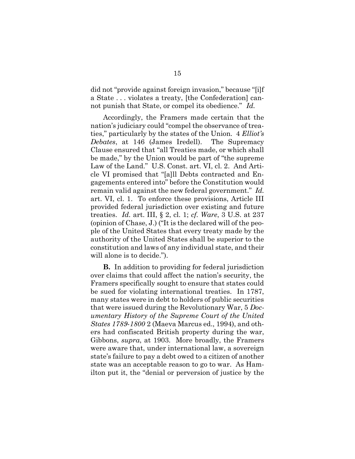did not "provide against foreign invasion," because "[i]f a State . . . violates a treaty, [the Confederation] cannot punish that State, or compel its obedience." Id.

Accordingly, the Framers made certain that the nation's judiciary could "compel the observance of treaties," particularly by the states of the Union. 4 Elliot's Debates, at 146 (James Iredell). The Supremacy Clause ensured that "all Treaties made, or which shall be made," by the Union would be part of "the supreme Law of the Land." U.S. Const. art. VI, cl. 2. And Article VI promised that "[a]ll Debts contracted and Engagements entered into" before the Constitution would remain valid against the new federal government." Id. art. VI, cl. 1. To enforce these provisions, Article III provided federal jurisdiction over existing and future treaties. Id. art. III, § 2, cl. 1; cf. Ware, 3 U.S. at 237 (opinion of Chase, J.) ("It is the declared will of the people of the United States that every treaty made by the authority of the United States shall be superior to the constitution and laws of any individual state, and their will alone is to decide.").

B. In addition to providing for federal jurisdiction over claims that could affect the nation's security, the Framers specifically sought to ensure that states could be sued for violating international treaties. In 1787, many states were in debt to holders of public securities that were issued during the Revolutionary War, 5 Documentary History of the Supreme Court of the United States 1789-1800 2 (Maeva Marcus ed., 1994), and others had confiscated British property during the war, Gibbons, supra, at 1903. More broadly, the Framers were aware that, under international law, a sovereign state's failure to pay a debt owed to a citizen of another state was an acceptable reason to go to war. As Hamilton put it, the "denial or perversion of justice by the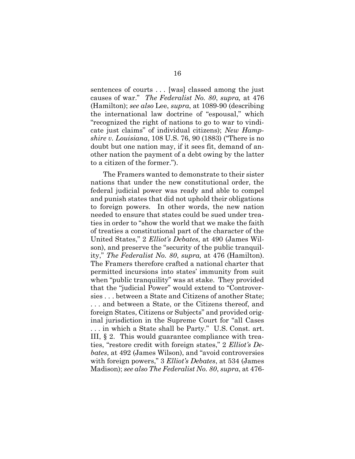sentences of courts . . . [was] classed among the just causes of war." The Federalist No. 80, supra, at 476 (Hamilton); see also Lee, supra, at 1089-90 (describing the international law doctrine of "espousal," which "recognized the right of nations to go to war to vindicate just claims" of individual citizens); New Hampshire v. Louisiana, 108 U.S. 76, 90 (1883) ("There is no doubt but one nation may, if it sees fit, demand of another nation the payment of a debt owing by the latter to a citizen of the former.").

The Framers wanted to demonstrate to their sister nations that under the new constitutional order, the federal judicial power was ready and able to compel and punish states that did not uphold their obligations to foreign powers. In other words, the new nation needed to ensure that states could be sued under treaties in order to "show the world that we make the faith of treaties a constitutional part of the character of the United States," 2 Elliot's Debates, at 490 (James Wilson), and preserve the "security of the public tranquility," The Federalist No. 80, supra, at 476 (Hamilton). The Framers therefore crafted a national charter that permitted incursions into states' immunity from suit when "public tranquility" was at stake. They provided that the "judicial Power" would extend to "Controversies . . . between a State and Citizens of another State; . . . and between a State, or the Citizens thereof, and foreign States, Citizens or Subjects" and provided original jurisdiction in the Supreme Court for "all Cases . . . in which a State shall be Party." U.S. Const. art.

III, § 2. This would guarantee compliance with treaties, "restore credit with foreign states," 2 Elliot's Debates, at 492 (James Wilson), and "avoid controversies with foreign powers," 3 Elliot's Debates, at 534 (James Madison); see also The Federalist No. 80, supra, at 476-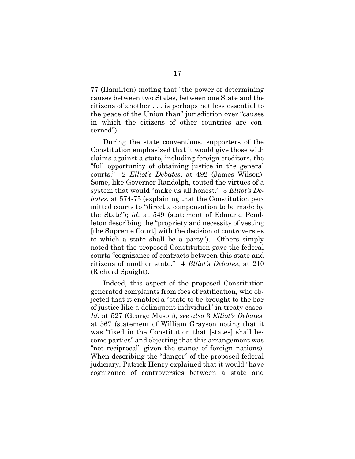77 (Hamilton) (noting that "the power of determining causes between two States, between one State and the citizens of another . . . is perhaps not less essential to the peace of the Union than" jurisdiction over "causes in which the citizens of other countries are concerned").

During the state conventions, supporters of the Constitution emphasized that it would give those with claims against a state, including foreign creditors, the "full opportunity of obtaining justice in the general courts." 2 Elliot's Debates, at 492 (James Wilson). Some, like Governor Randolph, touted the virtues of a system that would "make us all honest." 3 Elliot's Debates, at 574-75 (explaining that the Constitution permitted courts to "direct a compensation to be made by the State"); id. at 549 (statement of Edmund Pendleton describing the "propriety and necessity of vesting [the Supreme Court] with the decision of controversies to which a state shall be a party"). Others simply noted that the proposed Constitution gave the federal courts "cognizance of contracts between this state and citizens of another state." 4 Elliot's Debates, at 210 (Richard Spaight).

Indeed, this aspect of the proposed Constitution generated complaints from foes of ratification, who objected that it enabled a "state to be brought to the bar of justice like a delinquent individual" in treaty cases. Id. at 527 (George Mason); see also 3 Elliot's Debates, at 567 (statement of William Grayson noting that it was "fixed in the Constitution that [states] shall become parties" and objecting that this arrangement was "not reciprocal" given the stance of foreign nations). When describing the "danger" of the proposed federal judiciary, Patrick Henry explained that it would "have cognizance of controversies between a state and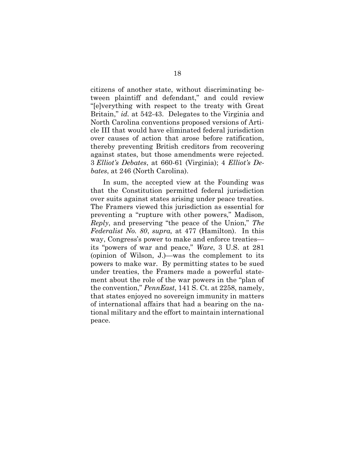citizens of another state, without discriminating between plaintiff and defendant," and could review "[e]verything with respect to the treaty with Great Britain," id. at 542-43. Delegates to the Virginia and North Carolina conventions proposed versions of Article III that would have eliminated federal jurisdiction over causes of action that arose before ratification, thereby preventing British creditors from recovering against states, but those amendments were rejected. 3 Elliot's Debates, at 660-61 (Virginia); 4 Elliot's Debates, at 246 (North Carolina).

In sum, the accepted view at the Founding was that the Constitution permitted federal jurisdiction over suits against states arising under peace treaties. The Framers viewed this jurisdiction as essential for preventing a "rupture with other powers," Madison, Reply, and preserving "the peace of the Union," The Federalist No. 80, supra, at 477 (Hamilton). In this way, Congress's power to make and enforce treaties its "powers of war and peace," Ware, 3 U.S. at 281 (opinion of Wilson, J.)—was the complement to its powers to make war. By permitting states to be sued under treaties, the Framers made a powerful statement about the role of the war powers in the "plan of the convention," PennEast, 141 S. Ct. at 2258, namely, that states enjoyed no sovereign immunity in matters of international affairs that had a bearing on the national military and the effort to maintain international peace.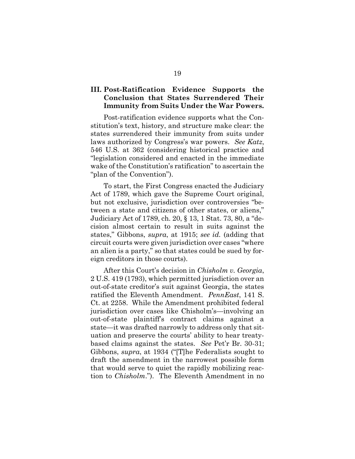#### III. Post-Ratification Evidence Supports the Conclusion that States Surrendered Their Immunity from Suits Under the War Powers.

Post-ratification evidence supports what the Constitution's text, history, and structure make clear: the states surrendered their immunity from suits under laws authorized by Congress's war powers. See Katz, 546 U.S. at 362 (considering historical practice and "legislation considered and enacted in the immediate wake of the Constitution's ratification" to ascertain the "plan of the Convention").

To start, the First Congress enacted the Judiciary Act of 1789, which gave the Supreme Court original, but not exclusive, jurisdiction over controversies "between a state and citizens of other states, or aliens," Judiciary Act of 1789, ch. 20, § 13, 1 Stat. 73, 80, a "decision almost certain to result in suits against the states," Gibbons, supra, at 1915; see id. (adding that circuit courts were given jurisdiction over cases "where an alien is a party," so that states could be sued by foreign creditors in those courts).

After this Court's decision in *Chisholm v. Georgia*, 2 U.S. 419 (1793), which permitted jurisdiction over an out-of-state creditor's suit against Georgia, the states ratified the Eleventh Amendment. *PennEast*, 141 S. Ct. at 2258. While the Amendment prohibited federal jurisdiction over cases like Chisholm's—involving an out-of-state plaintiff's contract claims against a state—it was drafted narrowly to address only that situation and preserve the courts' ability to hear treatybased claims against the states. See Pet'r Br. 30-31; Gibbons, supra, at 1934 ("[T]he Federalists sought to draft the amendment in the narrowest possible form that would serve to quiet the rapidly mobilizing reaction to Chisholm."). The Eleventh Amendment in no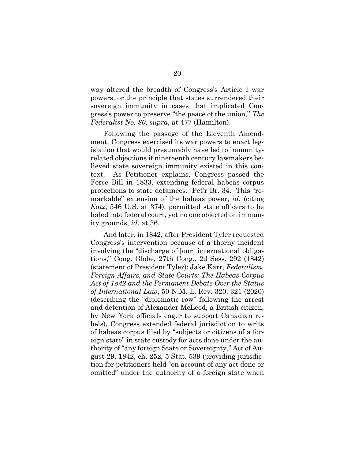way altered the breadth of Congress's Article I war powers, or the principle that states surrendered their sovereign immunity in cases that implicated Congress's power to preserve "the peace of the union," The Federalist No. 80, supra, at 477 (Hamilton).

Following the passage of the Eleventh Amendment, Congress exercised its war powers to enact legislation that would presumably have led to immunityrelated objections if nineteenth century lawmakers believed state sovereign immunity existed in this context. As Petitioner explains, Congress passed the Force Bill in 1833, extending federal habeas corpus protections to state detainees. Pet'r Br. 34. This "remarkable" extension of the habeas power, id. (citing Katz, 546 U.S. at 374), permitted state officers to be haled into federal court, yet no one objected on immunity grounds, id. at 36.

And later, in 1842, after President Tyler requested Congress's intervention because of a thorny incident involving the "discharge of [our] international obligations," Cong. Globe, 27th Cong., 2d Sess. 292 (1842) (statement of President Tyler); Jake Karr, Federalism, Foreign Affairs, and State Courts: The Habeas Corpus Act of 1842 and the Permanent Debate Over the Status of International Law, 50 N.M. L. Rev. 320, 321 (2020) (describing the "diplomatic row" following the arrest and detention of Alexander McLeod, a British citizen, by New York officials eager to support Canadian rebels), Congress extended federal jurisdiction to writs of habeas corpus filed by "subjects or citizens of a foreign state" in state custody for acts done under the authority of "any foreign State or Sovereignty," Act of August 29, 1842, ch. 252, 5 Stat. 539 (providing jurisdiction for petitioners held "on account of any act done or omitted" under the authority of a foreign state when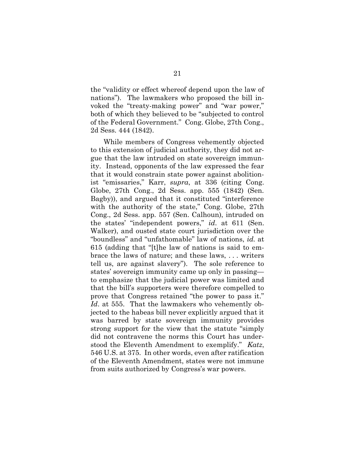the "validity or effect whereof depend upon the law of nations"). The lawmakers who proposed the bill invoked the "treaty-making power" and "war power," both of which they believed to be "subjected to control of the Federal Government." Cong. Globe, 27th Cong., 2d Sess. 444 (1842).

While members of Congress vehemently objected to this extension of judicial authority, they did not argue that the law intruded on state sovereign immunity. Instead, opponents of the law expressed the fear that it would constrain state power against abolitionist "emissaries," Karr, supra, at 336 (citing Cong. Globe, 27th Cong., 2d Sess. app. 555 (1842) (Sen. Bagby)), and argued that it constituted "interference with the authority of the state," Cong. Globe, 27th Cong., 2d Sess. app. 557 (Sen. Calhoun), intruded on the states' "independent powers," id. at 611 (Sen. Walker), and ousted state court jurisdiction over the "boundless" and "unfathomable" law of nations, id. at 615 (adding that "[t]he law of nations is said to embrace the laws of nature; and these laws, . . . writers tell us, are against slavery"). The sole reference to states' sovereign immunity came up only in passing to emphasize that the judicial power was limited and that the bill's supporters were therefore compelled to prove that Congress retained "the power to pass it." Id. at 555. That the lawmakers who vehemently objected to the habeas bill never explicitly argued that it was barred by state sovereign immunity provides strong support for the view that the statute "simply did not contravene the norms this Court has understood the Eleventh Amendment to exemplify." Katz, 546 U.S. at 375. In other words, even after ratification of the Eleventh Amendment, states were not immune from suits authorized by Congress's war powers.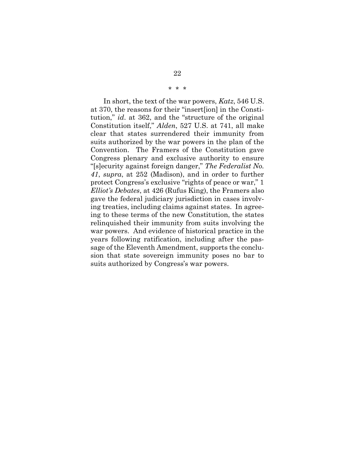#### \* \* \*

In short, the text of the war powers, Katz, 546 U.S. at 370, the reasons for their "insert[ion] in the Constitution," id. at 362, and the "structure of the original Constitution itself," Alden, 527 U.S. at 741, all make clear that states surrendered their immunity from suits authorized by the war powers in the plan of the Convention. The Framers of the Constitution gave Congress plenary and exclusive authority to ensure "[s]ecurity against foreign danger," The Federalist No. 41, supra, at 252 (Madison), and in order to further protect Congress's exclusive "rights of peace or war," 1 Elliot's Debates, at 426 (Rufus King), the Framers also gave the federal judiciary jurisdiction in cases involving treaties, including claims against states. In agreeing to these terms of the new Constitution, the states relinquished their immunity from suits involving the war powers. And evidence of historical practice in the years following ratification, including after the passage of the Eleventh Amendment, supports the conclusion that state sovereign immunity poses no bar to suits authorized by Congress's war powers.